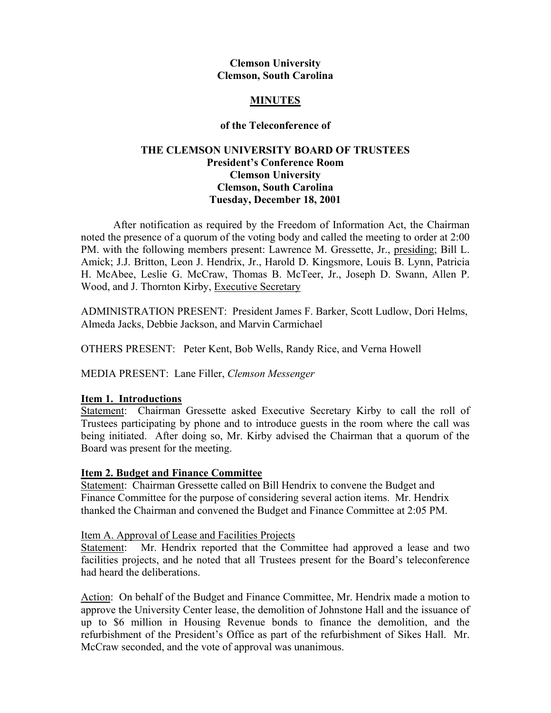#### **Clemson University Clemson, South Carolina**

# **MINUTES**

## **of the Teleconference of**

## **THE CLEMSON UNIVERSITY BOARD OF TRUSTEES President's Conference Room Clemson University Clemson, South Carolina Tuesday, December 18, 2001**

After notification as required by the Freedom of Information Act, the Chairman noted the presence of a quorum of the voting body and called the meeting to order at 2:00 PM. with the following members present: Lawrence M. Gressette, Jr., presiding; Bill L. Amick; J.J. Britton, Leon J. Hendrix, Jr., Harold D. Kingsmore, Louis B. Lynn, Patricia H. McAbee, Leslie G. McCraw, Thomas B. McTeer, Jr., Joseph D. Swann, Allen P. Wood, and J. Thornton Kirby, Executive Secretary

ADMINISTRATION PRESENT: President James F. Barker, Scott Ludlow, Dori Helms, Almeda Jacks, Debbie Jackson, and Marvin Carmichael

OTHERS PRESENT: Peter Kent, Bob Wells, Randy Rice, and Verna Howell

MEDIA PRESENT: Lane Filler, *Clemson Messenger* 

# **Item 1. Introductions**

Statement: Chairman Gressette asked Executive Secretary Kirby to call the roll of Trustees participating by phone and to introduce guests in the room where the call was being initiated. After doing so, Mr. Kirby advised the Chairman that a quorum of the Board was present for the meeting.

### **Item 2. Budget and Finance Committee**

Statement: Chairman Gressette called on Bill Hendrix to convene the Budget and Finance Committee for the purpose of considering several action items. Mr. Hendrix thanked the Chairman and convened the Budget and Finance Committee at 2:05 PM.

### Item A. Approval of Lease and Facilities Projects

Statement: Mr. Hendrix reported that the Committee had approved a lease and two facilities projects, and he noted that all Trustees present for the Board's teleconference had heard the deliberations.

Action: On behalf of the Budget and Finance Committee, Mr. Hendrix made a motion to approve the University Center lease, the demolition of Johnstone Hall and the issuance of up to \$6 million in Housing Revenue bonds to finance the demolition, and the refurbishment of the President's Office as part of the refurbishment of Sikes Hall. Mr. McCraw seconded, and the vote of approval was unanimous.